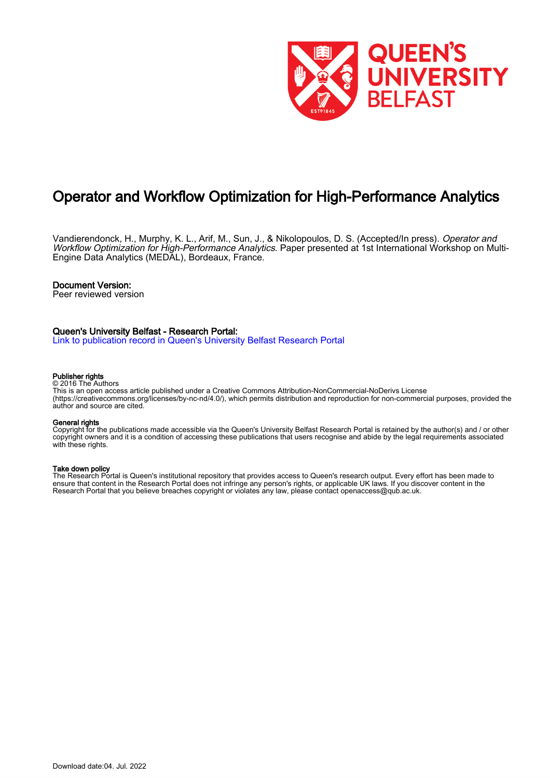

# Operator and Workflow Optimization for High-Performance Analytics

Vandierendonck, H., Murphy, K. L., Arif, M., Sun, J., & Nikolopoulos, D. S. (Accepted/In press). Operator and Workflow Optimization for High-Performance Analytics. Paper presented at 1st International Workshop on Multi-Engine Data Analytics (MEDAL), Bordeaux, France.

#### Document Version:

Peer reviewed version

## Queen's University Belfast - Research Portal:

[Link to publication record in Queen's University Belfast Research Portal](https://pure.qub.ac.uk/en/publications/143c45fb-beaa-43d7-9e7c-523eddc1408f)

#### Publisher rights

#### © 2016 The Authors

This is an open access article published under a Creative Commons Attribution-NonCommercial-NoDerivs License (https://creativecommons.org/licenses/by-nc-nd/4.0/), which permits distribution and reproduction for non-commercial purposes, provided the author and source are cited.

#### General rights

Copyright for the publications made accessible via the Queen's University Belfast Research Portal is retained by the author(s) and / or other copyright owners and it is a condition of accessing these publications that users recognise and abide by the legal requirements associated with these rights.

#### Take down policy

The Research Portal is Queen's institutional repository that provides access to Queen's research output. Every effort has been made to ensure that content in the Research Portal does not infringe any person's rights, or applicable UK laws. If you discover content in the Research Portal that you believe breaches copyright or violates any law, please contact openaccess@qub.ac.uk.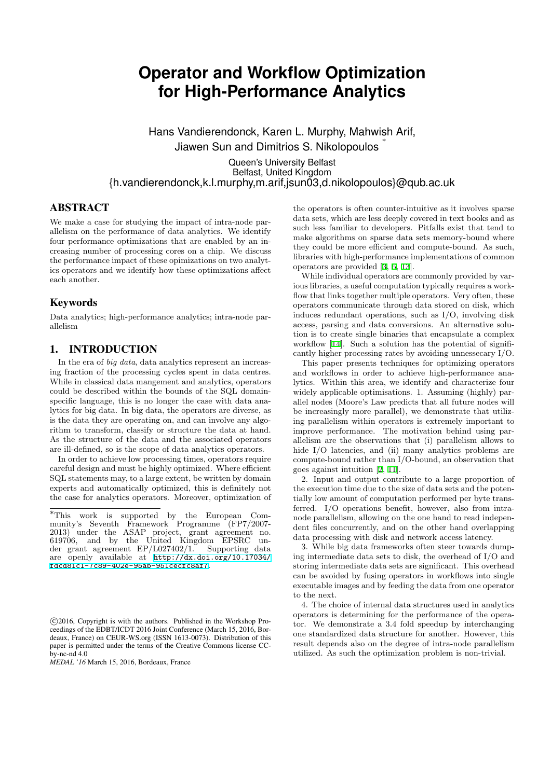# **Operator and Workflow Optimization for High-Performance Analytics**

Hans Vandierendonck, Karen L. Murphy, Mahwish Arif, Jiawen Sun and Dimitrios S. Nikolopoulos *∗*

Queen's University Belfast Belfast, United Kingdom {h.vandierendonck,k.l.murphy,m.arif,jsun03,d.nikolopoulos}@qub.ac.uk

## ABSTRACT

We make a case for studying the impact of intra-node parallelism on the performance of data analytics. We identify four performance optimizations that are enabled by an increasing number of processing cores on a chip. We discuss the performance impact of these opimizations on two analytics operators and we identify how these optimizations affect each another.

# Keywords

Data analytics; high-performance analytics; intra-node parallelism

# 1. INTRODUCTION

In the era of *big data*, data analytics represent an increasing fraction of the processing cycles spent in data centres. While in classical data mangement and analytics, operators could be described within the bounds of the SQL domainspecific language, this is no longer the case with data analytics for big data. In big data, the operators are diverse, as is the data they are operating on, and can involve any algorithm to transform, classify or structure the data at hand. As the structure of the data and the associated operators are ill-defined, so is the scope of data analytics operators.

In order to achieve low processing times, operators require careful design and must be highly optimized. Where efficient SQL statements may, to a large extent, be written by domain experts and automatically optimized, this is definitely not the case for analytics operators. Moreover, optimization of

*MEDAL '16* March 15, 2016, Bordeaux, France

the operators is often counter-intuitive as it involves sparse data sets, which are less deeply covered in text books and as such less familiar to developers. Pitfalls exist that tend to make algorithms on sparse data sets memory-bound where they could be more efficient and compute-bound. As such, libraries with high-performance implementations of common operators are provided [3, 6, 13].

While individual operators are commonly provided by various libraries, a useful computation typically requires a workflow that links together multiple operators. Very often, these operators communicate through data stored on disk, which induces redundant ope[rat](#page-4-0)i[o](#page-4-1)n[s,](#page-4-2) such as I/O, involving disk access, parsing and data conversions. An alternative solution is to create single binaries that encapsulate a complex workflow [14]. Such a solution has the potential of significantly higher processing rates by avoiding unnessecary I/O.

This paper presents techniques for optimizing operators and workflows in order to achieve high-performance analytics. Within this area, we identify and characterize four widely ap[plic](#page-4-3)able optimisations. 1. Assuming (highly) parallel nodes (Moore's Law predicts that all future nodes will be increasingly more parallel), we demonstrate that utilizing parallelism within operators is extremely important to improve performance. The motivation behind using parallelism are the observations that (i) parallelism allows to hide I/O latencies, and (ii) many analytics problems are compute-bound rather than I/O-bound, an observation that goes against intuition [2, 11].

2. Input and output contribute to a large proportion of the execution time due to the size of data sets and the potentially low amount of computation performed per byte transferred. I/O operations benefit, however, also from intranode parallelism, allow[in](#page-4-4)[g on](#page-4-5) the one hand to read independent files concurrently, and on the other hand overlapping data processing with disk and network access latency.

3. While big data frameworks often steer towards dumping intermediate data sets to disk, the overhead of I/O and storing intermediate data sets are significant. This overhead can be avoided by fusing operators in workflows into single executable images and by feeding the data from one operator to the next.

4. The choice of internal data structures used in analytics operators is determining for the performance of the operator. We demonstrate a 3.4 fold speedup by interchanging one standardized data structure for another. However, this result depends also on the degree of intra-node parallelism utilized. As such the optimization problem is non-trivial.

*<sup>∗</sup>*This work is supported by the European Community's Seventh Framework Programme (FP7/2007- 2013) under the ASAP project, grant agreement no. 619706, and by the United Kingdom EPSRC under grant agreement EP/L027402/1. Supporting data are openly available at http://dx.doi.org/10.17034/ fdcd81c1-7c89-402e-95ab-951cecfc8af7.

*<sup>⃝</sup>*c 2016, Copyright is with the authors. Published in the Workshop Proceedings of the EDBT/ICDT 2016 Joint Conference (March 15, 2016, Bordeaux, France) on CEUR-WS.org (ISSN 1613-0073). Distribution of this paper is permitted under the terms of the Creative Commons license CC $b$ <sub>v-nc-nd</sub> 4.0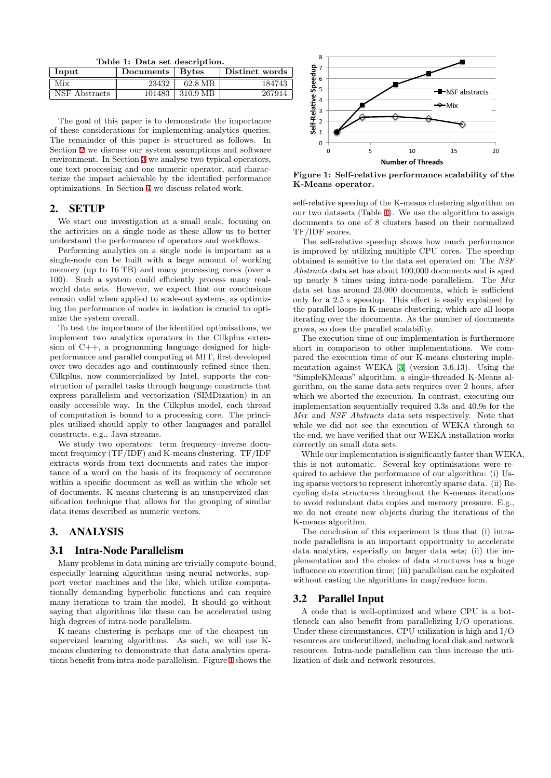<span id="page-2-0"></span>**Table 1: Data set description.**

| Input         | Documents   Bytes |          | Distinct words |
|---------------|-------------------|----------|----------------|
| Mix           | 23432             | 62.8 MB  | 184743         |
| NSF Abstracts | 101483            | 310.9 MB | 267914         |

The goal of this paper is to demonstrate the importance of these considerations for implementing analytics queries. The remainder of this paper is structured as follows. In Section 2 we discuss our system assumptions and software environment. In Section 3 we analyse two typical operators, one text processing and one numeric operator, and characterize the impact achievable by the identified performance optimizations. In Section 4 we discuss related work.

## 2. SETUP

We start our investigation at a small scale, focusing on the activities on a single [n](#page-4-6)ode as these allow us to better understand the performance of operators and workflows.

Performing analytics on a single node is important as a single-node can be built with a large amount of working memory (up to 16 TB) and many processing cores (over a 100). Such a system could efficiently process many realworld data sets. However, we expect that our conclusions remain valid when applied to scale-out systems, as optimizing the performance of nodes in isolation is crucial to optimize the system overall.

To test the importance of the identified optimisations, we implement two analytics operators in the Cilkplus extension of C++, a programming language designed for highperformance and parallel computing at MIT, first developed over two decades ago and continuously refined since then. Cilkplus, now commercialized by Intel, supports the construction of parallel tasks through language constructs that express parallelism and vectorization (SIMDization) in an easily accessible way. In the Cilkplus model, each thread of computation is bound to a processing core. The principles utilized should apply to other languages and parallel constructs, e.g., Java streams.

We study two operators: term frequency–inverse document frequency (TF/IDF) and K-means clustering. TF/IDF extracts words from text documents and rates the importance of a word on the basis of its frequency of occurence within a specific document as well as within the whole set of documents. K-means clustering is an unsupervized classification technique that allows for the grouping of similar data items described as numeric vectors.

# 3. ANALYSIS

#### 3.1 Intra-Node Parallelism

Many problems in data mining are trivially compute-bound, especially learning algorithms using neural networks, support vector machines and the like, which utilize computationally demanding hyperbolic functions and can require many iterations to train the model. It should go without saying that algorithms like these can be accelerated using high degrees of intra-node parallelism.

K-means clustering is perhaps one of the cheapest unsupervized learning algorithms. As such, we will use Kmeans clustering to demonstrate that data analytics operations benefit from intra-node parallelism. Figure 1 shows the



**Figure 1: Self-relative performance scalability of the K-Means operator.**

self-relative speedup of the K-means clustering algorithm on our two datasets (Table 1). We use the algorithm to assign documents to one of 8 clusters based on their normalized TF/IDF scores.

The self-relative speedup shows how much performance is improved by utilizing multiple CPU cores. The speedup obtained is sensitive to [th](#page-2-0)e data set operated on: The *NSF Abstracts* data set has about 100,000 documents and is sped up nearly 8 times using intra-node parallelism. The *Mix* data set has around 23,000 documents, which is sufficient only for a 2.5 x speedup. This effect is easily explained by the parallel loops in K-means clustering, which are all loops iterating over the documents. As the number of documents grows, so does the parallel scalability.

The execution time of our implementation is furthermore short in comparison to other implementations. We compared the execution time of our K-means clustering implementation against WEKA [3] (version 3.6.13). Using the "SimpleKMeans" algorithm, a single-threaded K-Means algorithm, on the same data sets requires over 2 hours, after which we aborted the execution. In contrast, executing our implementation sequentially required 3.3s and 40.9s for the *Mix* and *NSF Abstracts* da[ta](#page-4-0) sets respectively. Note that while we did not see the execution of WEKA through to the end, we have verified that our WEKA installation works correctly on small data sets.

While our implementation is significantly faster than WEKA, this is not automatic. Several key optimisations were required to achieve the performance of our algorithm: (i) Using sparse vectors to represent inherently sparse data. (ii) Recycling data structures throughout the K-means iterations to avoid redundant data copies and memory pressure. E.g., we do not create new objects during the iterations of the K-means algorithm.

The conclusion of this experiment is thus that (i) intranode parallelism is an important opportunity to accelerate data analytics, especially on larger data sets; (ii) the implementation and the choice of data structures has a huge influence on execution time; (iii) parallelism can be exploited without casting the algorithms in map/reduce form.

## 3.2 Parallel Input

A code that is well-optimized and where CPU is a bottleneck can also benefit from parallelizing I/O operations. Under these circumstances, CPU utilization is high and I/O resources are underutilized, including local disk and network resources. Intra-node parallelism can thus increase the utilization of disk and network resources.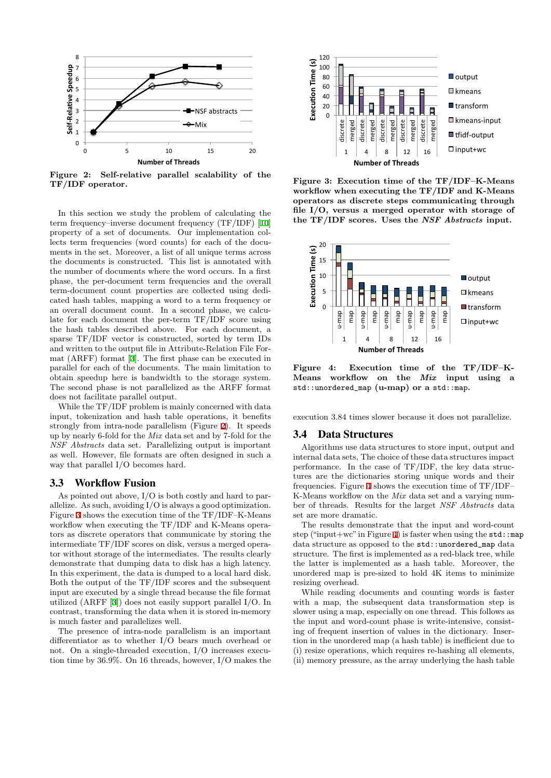

**Figure 2: Self-relative parallel scalability of the TF/IDF operator.**

In this section we study the problem of calculating the term frequency–inverse document frequency (TF/IDF) [10] property of a set of documents. Our implementation collects term frequencies (word counts) for each of the documents in the set. Moreover, a list of all unique terms across the documents is constructed. This list is annotated with the number of documents where the word occurs. In a [first](#page-4-7) phase, the per-document term frequencies and the overall term-document count properties are collected using dedicated hash tables, mapping a word to a term frequency or an overall document count. In a second phase, we calculate for each document the per-term TF/IDF score using the hash tables described above. For each document, a sparse TF/IDF vector is constructed, sorted by term IDs and written to the output file in Attribute-Relation File Format (ARFF) format [3]. The first phase can be executed in parallel for each of the documents. The main limitation to obtain speedup here is bandwidth to the storage system. The second phase is not parallelized as the ARFF format does not facilitate parallel output.

While the TF/IDF [pr](#page-4-0)oblem is mainly concerned with data input, tokenization and hash table operations, it benefits strongly from intra-node parallelism (Figure 2). It speeds up by nearly 6-fold for the *Mix* data set and by 7-fold for the *NSF Abstracts* data set. Parallelizing output is important as well. However, file formats are often designed in such a way that parallel I/O becomes hard.

#### 3.3 Workflow Fusion

As pointed out above, I/O is both costly and hard to parallelize. As such, avoiding I/O is always a good optimization. Figure 3 shows the execution time of the TF/IDF–K-Means workflow when executing the TF/IDF and K-Means operators as discrete operators that communicate by storing the intermediate TF/IDF scores on disk, versus a merged operator without storage of the intermediates. The results clearly demon[st](#page-3-0)rate that dumping data to disk has a high latency. In this experiment, the data is dumped to a local hard disk. Both the output of the TF/IDF scores and the subsequent input are executed by a single thread because the file format utilized (ARFF [3]) does not easily support parallel I/O. In contrast, transforming the data when it is stored in-memory is much faster and parallelizes well.

The presence of intra-node parallelism is an important differentiator as to whether I/O bears much overhead or not. On a singl[e-t](#page-4-0)hreaded execution, I/O increases execution time by 36.9%. On 16 threads, however, I/O makes the



**Figure 3: Execution time of the TF/IDF–K-Means workflow when executing the TF/IDF and K-Means operators as discrete steps communicating through file I/O, versus a merged operator with storage of the TF/IDF scores. Uses the** *NSF Abstracts* **input.**

<span id="page-3-0"></span>

**Figure 4: Execution time of the TF/IDF–K-Means workflow on the** *Mix* **input using a** std::unordered\_map **(u-map) or a** std::map**.**

<span id="page-3-1"></span>execution 3.84 times slower because it does not parallelize.

#### 3.4 Data Structures

Algorithms use data structures to store input, output and internal data sets, The choice of these data structures impact performance. In the case of TF/IDF, the key data structures are the dictionaries storing unique words and their frequencies. Figure 4 shows the execution time of TF/IDF– K-Means workflow on the *Mix* data set and a varying number of threads. Results for the larget *NSF Abstracts* data set are more dramatic.

The results demonstrate that the input and word-count step ("input+wc" in [F](#page-3-1)igure 4) is faster when using the  $std:map$ data structure as opposed to the std::unordered\_map data structure. The first is implemented as a red-black tree, while the latter is implemented as a hash table. Moreover, the unordered map is pre-sized to hold 4K items to minimize resizing overhead.

While reading documents and counting words is faster with a map, the subsequent data transformation step is slower using a map, especially on one thread. This follows as the input and word-count phase is write-intensive, consisting of frequent insertion of values in the dictionary. Insertion in the unordered map (a hash table) is inefficient due to (i) resize operations, which requires re-hashing all elements, (ii) memory pressure, as the array underlying the hash table